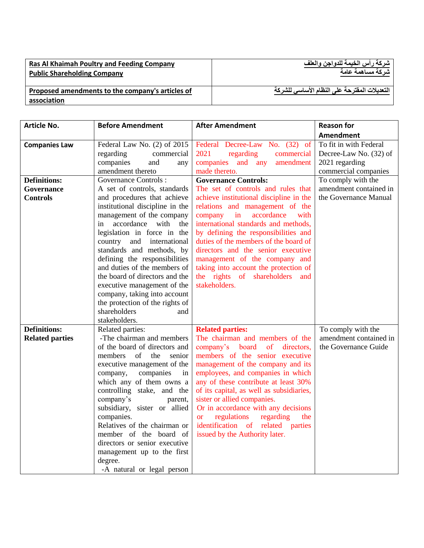## **Ras Al Khaimah Poultry and Feeding Company Public Shareholding Company**

**شركة رأس الخيمة للدواجن والعلف شركة مساهمة عامة**

**التعديالت المقترحة على النظام األساسي للشركة**

**Proposed amendments to the company's articles of association**

| Article No.                                   | <b>Before Amendment</b>                                                                                                                                                                                                                                                                                                                                                                                                                                                                                                  | <b>After Amendment</b>                                                                                                                                                                                                                                                                                                                                                                                                                                                                   | <b>Reason for</b>                                                    |
|-----------------------------------------------|--------------------------------------------------------------------------------------------------------------------------------------------------------------------------------------------------------------------------------------------------------------------------------------------------------------------------------------------------------------------------------------------------------------------------------------------------------------------------------------------------------------------------|------------------------------------------------------------------------------------------------------------------------------------------------------------------------------------------------------------------------------------------------------------------------------------------------------------------------------------------------------------------------------------------------------------------------------------------------------------------------------------------|----------------------------------------------------------------------|
|                                               |                                                                                                                                                                                                                                                                                                                                                                                                                                                                                                                          |                                                                                                                                                                                                                                                                                                                                                                                                                                                                                          | <b>Amendment</b>                                                     |
| <b>Companies Law</b>                          | Federal Law No. (2) of 2015                                                                                                                                                                                                                                                                                                                                                                                                                                                                                              | Federal Decree-Law No. (32) of                                                                                                                                                                                                                                                                                                                                                                                                                                                           | To fit in with Federal                                               |
|                                               | regarding<br>commercial                                                                                                                                                                                                                                                                                                                                                                                                                                                                                                  | 2021<br>regarding<br>commercial                                                                                                                                                                                                                                                                                                                                                                                                                                                          | Decree-Law No. (32) of                                               |
|                                               | companies<br>and<br>any                                                                                                                                                                                                                                                                                                                                                                                                                                                                                                  | companies and any<br>amendment                                                                                                                                                                                                                                                                                                                                                                                                                                                           | 2021 regarding                                                       |
|                                               | amendment thereto                                                                                                                                                                                                                                                                                                                                                                                                                                                                                                        | made thereto.                                                                                                                                                                                                                                                                                                                                                                                                                                                                            | commercial companies                                                 |
| <b>Definitions:</b>                           | <b>Governance Controls:</b>                                                                                                                                                                                                                                                                                                                                                                                                                                                                                              | <b>Governance Controls:</b>                                                                                                                                                                                                                                                                                                                                                                                                                                                              | To comply with the                                                   |
| <b>Governance</b>                             | A set of controls, standards                                                                                                                                                                                                                                                                                                                                                                                                                                                                                             | The set of controls and rules that                                                                                                                                                                                                                                                                                                                                                                                                                                                       | amendment contained in                                               |
| <b>Controls</b>                               | and procedures that achieve                                                                                                                                                                                                                                                                                                                                                                                                                                                                                              | achieve institutional discipline in the                                                                                                                                                                                                                                                                                                                                                                                                                                                  | the Governance Manual                                                |
|                                               | institutional discipline in the                                                                                                                                                                                                                                                                                                                                                                                                                                                                                          | relations and management of the                                                                                                                                                                                                                                                                                                                                                                                                                                                          |                                                                      |
|                                               | management of the company                                                                                                                                                                                                                                                                                                                                                                                                                                                                                                | company in<br>accordance<br>with                                                                                                                                                                                                                                                                                                                                                                                                                                                         |                                                                      |
|                                               | accordance with<br>in<br>the                                                                                                                                                                                                                                                                                                                                                                                                                                                                                             | international standards and methods,                                                                                                                                                                                                                                                                                                                                                                                                                                                     |                                                                      |
|                                               | legislation in force in the                                                                                                                                                                                                                                                                                                                                                                                                                                                                                              | by defining the responsibilities and                                                                                                                                                                                                                                                                                                                                                                                                                                                     |                                                                      |
|                                               | country and international                                                                                                                                                                                                                                                                                                                                                                                                                                                                                                | duties of the members of the board of                                                                                                                                                                                                                                                                                                                                                                                                                                                    |                                                                      |
|                                               | standards and methods, by                                                                                                                                                                                                                                                                                                                                                                                                                                                                                                | directors and the senior executive                                                                                                                                                                                                                                                                                                                                                                                                                                                       |                                                                      |
|                                               | defining the responsibilities                                                                                                                                                                                                                                                                                                                                                                                                                                                                                            | management of the company and                                                                                                                                                                                                                                                                                                                                                                                                                                                            |                                                                      |
|                                               | and duties of the members of                                                                                                                                                                                                                                                                                                                                                                                                                                                                                             | taking into account the protection of                                                                                                                                                                                                                                                                                                                                                                                                                                                    |                                                                      |
|                                               | the board of directors and the                                                                                                                                                                                                                                                                                                                                                                                                                                                                                           | the rights of shareholders and                                                                                                                                                                                                                                                                                                                                                                                                                                                           |                                                                      |
|                                               | executive management of the                                                                                                                                                                                                                                                                                                                                                                                                                                                                                              | stakeholders.                                                                                                                                                                                                                                                                                                                                                                                                                                                                            |                                                                      |
|                                               | company, taking into account                                                                                                                                                                                                                                                                                                                                                                                                                                                                                             |                                                                                                                                                                                                                                                                                                                                                                                                                                                                                          |                                                                      |
|                                               | the protection of the rights of                                                                                                                                                                                                                                                                                                                                                                                                                                                                                          |                                                                                                                                                                                                                                                                                                                                                                                                                                                                                          |                                                                      |
|                                               |                                                                                                                                                                                                                                                                                                                                                                                                                                                                                                                          |                                                                                                                                                                                                                                                                                                                                                                                                                                                                                          |                                                                      |
|                                               |                                                                                                                                                                                                                                                                                                                                                                                                                                                                                                                          |                                                                                                                                                                                                                                                                                                                                                                                                                                                                                          |                                                                      |
|                                               |                                                                                                                                                                                                                                                                                                                                                                                                                                                                                                                          |                                                                                                                                                                                                                                                                                                                                                                                                                                                                                          |                                                                      |
|                                               |                                                                                                                                                                                                                                                                                                                                                                                                                                                                                                                          |                                                                                                                                                                                                                                                                                                                                                                                                                                                                                          |                                                                      |
|                                               |                                                                                                                                                                                                                                                                                                                                                                                                                                                                                                                          |                                                                                                                                                                                                                                                                                                                                                                                                                                                                                          |                                                                      |
|                                               |                                                                                                                                                                                                                                                                                                                                                                                                                                                                                                                          |                                                                                                                                                                                                                                                                                                                                                                                                                                                                                          |                                                                      |
|                                               |                                                                                                                                                                                                                                                                                                                                                                                                                                                                                                                          |                                                                                                                                                                                                                                                                                                                                                                                                                                                                                          |                                                                      |
|                                               |                                                                                                                                                                                                                                                                                                                                                                                                                                                                                                                          |                                                                                                                                                                                                                                                                                                                                                                                                                                                                                          |                                                                      |
|                                               |                                                                                                                                                                                                                                                                                                                                                                                                                                                                                                                          |                                                                                                                                                                                                                                                                                                                                                                                                                                                                                          |                                                                      |
|                                               |                                                                                                                                                                                                                                                                                                                                                                                                                                                                                                                          |                                                                                                                                                                                                                                                                                                                                                                                                                                                                                          |                                                                      |
|                                               |                                                                                                                                                                                                                                                                                                                                                                                                                                                                                                                          |                                                                                                                                                                                                                                                                                                                                                                                                                                                                                          |                                                                      |
|                                               |                                                                                                                                                                                                                                                                                                                                                                                                                                                                                                                          |                                                                                                                                                                                                                                                                                                                                                                                                                                                                                          |                                                                      |
|                                               |                                                                                                                                                                                                                                                                                                                                                                                                                                                                                                                          |                                                                                                                                                                                                                                                                                                                                                                                                                                                                                          |                                                                      |
|                                               |                                                                                                                                                                                                                                                                                                                                                                                                                                                                                                                          |                                                                                                                                                                                                                                                                                                                                                                                                                                                                                          |                                                                      |
|                                               |                                                                                                                                                                                                                                                                                                                                                                                                                                                                                                                          |                                                                                                                                                                                                                                                                                                                                                                                                                                                                                          |                                                                      |
|                                               |                                                                                                                                                                                                                                                                                                                                                                                                                                                                                                                          |                                                                                                                                                                                                                                                                                                                                                                                                                                                                                          |                                                                      |
|                                               |                                                                                                                                                                                                                                                                                                                                                                                                                                                                                                                          |                                                                                                                                                                                                                                                                                                                                                                                                                                                                                          |                                                                      |
|                                               |                                                                                                                                                                                                                                                                                                                                                                                                                                                                                                                          |                                                                                                                                                                                                                                                                                                                                                                                                                                                                                          |                                                                      |
| <b>Definitions:</b><br><b>Related parties</b> | shareholders<br>and<br>stakeholders.<br>Related parties:<br>-The chairman and members<br>of the board of directors and<br>of<br>members<br>the<br>senior<br>executive management of the<br>companies<br>company,<br>in<br>which any of them owns a<br>controlling stake, and the<br>company's<br>parent,<br>subsidiary, sister or allied<br>companies.<br>Relatives of the chairman or<br>member of the board of<br>directors or senior executive<br>management up to the first<br>degree.<br>-A natural or legal person | <b>Related parties:</b><br>The chairman and members of the<br>company's board of directors,<br>members of the senior executive<br>management of the company and its<br>employees, and companies in which<br>any of these contribute at least 30%<br>of its capital, as well as subsidiaries,<br>sister or allied companies.<br>Or in accordance with any decisions<br>regarding<br>the<br>$\alpha$<br>regulations<br>identification of related parties<br>issued by the Authority later. | To comply with the<br>amendment contained in<br>the Governance Guide |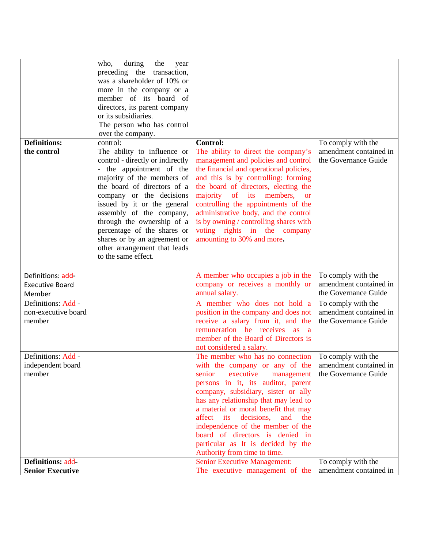|                                                     | during<br>who,<br>the            |                                                                        |                                              |
|-----------------------------------------------------|----------------------------------|------------------------------------------------------------------------|----------------------------------------------|
|                                                     | year                             |                                                                        |                                              |
|                                                     | preceding the transaction,       |                                                                        |                                              |
|                                                     | was a shareholder of 10% or      |                                                                        |                                              |
|                                                     | more in the company or a         |                                                                        |                                              |
|                                                     | member of its board of           |                                                                        |                                              |
|                                                     | directors, its parent company    |                                                                        |                                              |
|                                                     | or its subsidiaries.             |                                                                        |                                              |
|                                                     | The person who has control       |                                                                        |                                              |
|                                                     | over the company.                |                                                                        |                                              |
| <b>Definitions:</b>                                 | control:                         | <b>Control:</b>                                                        | To comply with the                           |
| the control                                         | The ability to influence or      | The ability to direct the company's                                    | amendment contained in                       |
|                                                     | control - directly or indirectly | management and policies and control                                    | the Governance Guide                         |
|                                                     | - the appointment of the         | the financial and operational policies,                                |                                              |
|                                                     | majority of the members of       | and this is by controlling: forming                                    |                                              |
|                                                     | the board of directors of a      | the board of directors, electing the                                   |                                              |
|                                                     | company or the decisions         | majority of its members,<br><b>or</b>                                  |                                              |
|                                                     | issued by it or the general      | controlling the appointments of the                                    |                                              |
|                                                     | assembly of the company,         | administrative body, and the control                                   |                                              |
|                                                     | through the ownership of a       | is by owning / controlling shares with                                 |                                              |
|                                                     | percentage of the shares or      | voting rights in the company                                           |                                              |
|                                                     |                                  | amounting to 30% and more.                                             |                                              |
|                                                     | shares or by an agreement or     |                                                                        |                                              |
|                                                     | other arrangement that leads     |                                                                        |                                              |
|                                                     | to the same effect.              |                                                                        |                                              |
|                                                     |                                  |                                                                        |                                              |
|                                                     |                                  |                                                                        |                                              |
| Definitions: add-                                   |                                  | A member who occupies a job in the                                     | To comply with the                           |
| <b>Executive Board</b>                              |                                  | company or receives a monthly or                                       | amendment contained in                       |
| Member                                              |                                  | annual salary.                                                         | the Governance Guide                         |
| Definitions: Add -                                  |                                  | A member who does not hold a                                           | To comply with the                           |
| non-executive board                                 |                                  | position in the company and does not                                   | amendment contained in                       |
| member                                              |                                  |                                                                        | the Governance Guide                         |
|                                                     |                                  | receive a salary from it, and the<br>remuneration he receives as a     |                                              |
|                                                     |                                  | member of the Board of Directors is                                    |                                              |
|                                                     |                                  |                                                                        |                                              |
|                                                     |                                  | not considered a salary.                                               |                                              |
| Definitions: Add -                                  |                                  | The member who has no connection                                       | To comply with the                           |
| independent board                                   |                                  | with the company or any of the                                         | amendment contained in                       |
| member                                              |                                  | executive<br>senior<br>management                                      | the Governance Guide                         |
|                                                     |                                  | persons in it, its auditor, parent                                     |                                              |
|                                                     |                                  | company, subsidiary, sister or ally                                    |                                              |
|                                                     |                                  | has any relationship that may lead to                                  |                                              |
|                                                     |                                  | a material or moral benefit that may                                   |                                              |
|                                                     |                                  | affect its decisions, and<br>the                                       |                                              |
|                                                     |                                  | independence of the member of the                                      |                                              |
|                                                     |                                  | board of directors is denied in                                        |                                              |
|                                                     |                                  | particular as It is decided by the                                     |                                              |
|                                                     |                                  | Authority from time to time.                                           |                                              |
| <b>Definitions: add-</b><br><b>Senior Executive</b> |                                  | <b>Senior Executive Management:</b><br>The executive management of the | To comply with the<br>amendment contained in |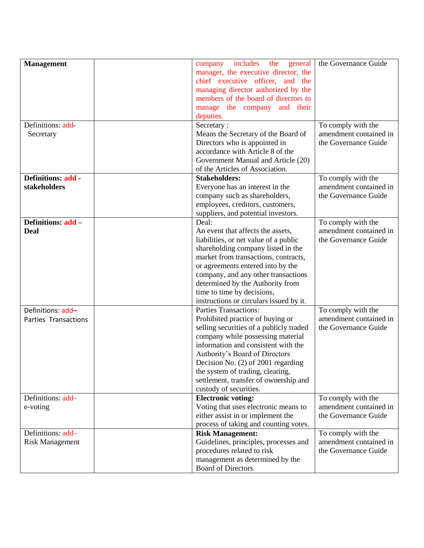| <b>Management</b>         | company includes the<br>general         | the Governance Guide                         |
|---------------------------|-----------------------------------------|----------------------------------------------|
|                           | manager, the executive director, the    |                                              |
|                           | chief executive officer, and the        |                                              |
|                           | managing director authorized by the     |                                              |
|                           | members of the board of directors to    |                                              |
|                           |                                         |                                              |
|                           | manage the company and their            |                                              |
|                           | deputies.                               |                                              |
| Definitions: add-         | Secretary:                              | To comply with the                           |
| Secretary                 | Means the Secretary of the Board of     | amendment contained in                       |
|                           | Directors who is appointed in           | the Governance Guide                         |
|                           | accordance with Article 8 of the        |                                              |
|                           | Government Manual and Article (20)      |                                              |
|                           | of the Articles of Association.         |                                              |
| <b>Definitions: add -</b> | <b>Stakeholders:</b>                    | To comply with the                           |
| stakeholders              | Everyone has an interest in the         | amendment contained in                       |
|                           | company such as shareholders,           | the Governance Guide                         |
|                           | employees, creditors, customers,        |                                              |
|                           | suppliers, and potential investors.     |                                              |
| Definitions: add -        | Deal:                                   | To comply with the                           |
| <b>Deal</b>               | An event that affects the assets,       | amendment contained in                       |
|                           | liabilities, or net value of a public   | the Governance Guide                         |
|                           | shareholding company listed in the      |                                              |
|                           | market from transactions, contracts,    |                                              |
|                           | or agreements entered into by the       |                                              |
|                           | company, and any other transactions     |                                              |
|                           | determined by the Authority from        |                                              |
|                           | time to time by decisions,              |                                              |
|                           | instructions or circulars issued by it. |                                              |
| Definitions: add-         | <b>Parties Transactions:</b>            |                                              |
|                           |                                         | To comply with the<br>amendment contained in |
| Parties Transactions      | Prohibited practice of buying or        | the Governance Guide                         |
|                           | selling securities of a publicly traded |                                              |
|                           | company while possessing material       |                                              |
|                           | information and consistent with the     |                                              |
|                           | Authority's Board of Directors          |                                              |
|                           | Decision No. (2) of 2001 regarding      |                                              |
|                           | the system of trading, clearing,        |                                              |
|                           | settlement, transfer of ownership and   |                                              |
|                           | custody of securities.                  |                                              |
| Definitions: add-         | <b>Electronic voting:</b>               | To comply with the                           |
| e-voting                  | Voting that uses electronic means to    | amendment contained in                       |
|                           | either assist in or implement the       | the Governance Guide                         |
|                           | process of taking and counting votes.   |                                              |
| Definitions: add-         | <b>Risk Management:</b>                 | To comply with the                           |
| <b>Risk Management</b>    | Guidelines, principles, processes and   | amendment contained in                       |
|                           | procedures related to risk              | the Governance Guide                         |
|                           | management as determined by the         |                                              |
|                           | Board of Directors.                     |                                              |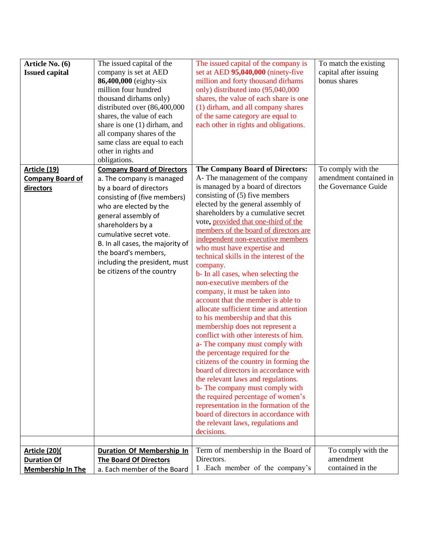| Article No. (6)<br><b>Issued capital</b>       | The issued capital of the<br>company is set at AED<br>86,400,000 (eighty-six<br>million four hundred<br>thousand dirhams only)<br>distributed over (86,400,000<br>shares, the value of each<br>share is one $(1)$ dirham, and<br>all company shares of the<br>same class are equal to each<br>other in rights and<br>obligations. | The issued capital of the company is<br>set at AED 95,040,000 (ninety-five<br>million and forty thousand dirhams<br>only) distributed into (95,040,000<br>shares, the value of each share is one<br>(1) dirham, and all company shares<br>of the same category are equal to<br>each other in rights and obligations.                                                                                                                                                                                                                                                                                                                                                                                                                                                                                                                                                                                                                                                                                                                                                                   | To match the existing<br>capital after issuing<br>bonus shares |
|------------------------------------------------|-----------------------------------------------------------------------------------------------------------------------------------------------------------------------------------------------------------------------------------------------------------------------------------------------------------------------------------|----------------------------------------------------------------------------------------------------------------------------------------------------------------------------------------------------------------------------------------------------------------------------------------------------------------------------------------------------------------------------------------------------------------------------------------------------------------------------------------------------------------------------------------------------------------------------------------------------------------------------------------------------------------------------------------------------------------------------------------------------------------------------------------------------------------------------------------------------------------------------------------------------------------------------------------------------------------------------------------------------------------------------------------------------------------------------------------|----------------------------------------------------------------|
| <b>Article (19)</b><br><b>Company Board of</b> | <b>Company Board of Directors</b><br>a. The company is managed                                                                                                                                                                                                                                                                    | <b>The Company Board of Directors:</b><br>A-The management of the company                                                                                                                                                                                                                                                                                                                                                                                                                                                                                                                                                                                                                                                                                                                                                                                                                                                                                                                                                                                                              | To comply with the<br>amendment contained in                   |
| directors                                      | by a board of directors<br>consisting of (five members)<br>who are elected by the<br>general assembly of<br>shareholders by a<br>cumulative secret vote.<br>B. In all cases, the majority of<br>the board's members,<br>including the president, must<br>be citizens of the country                                               | is managed by a board of directors<br>consisting of $(5)$ five members<br>elected by the general assembly of<br>shareholders by a cumulative secret<br>vote, provided that one-third of the<br>members of the board of directors are<br>independent non-executive members<br>who must have expertise and<br>technical skills in the interest of the<br>company.<br>b- In all cases, when selecting the<br>non-executive members of the<br>company, it must be taken into<br>account that the member is able to<br>allocate sufficient time and attention<br>to his membership and that this<br>membership does not represent a<br>conflict with other interests of him.<br>a- The company must comply with<br>the percentage required for the<br>citizens of the country in forming the<br>board of directors in accordance with<br>the relevant laws and regulations.<br>b- The company must comply with<br>the required percentage of women's<br>representation in the formation of the<br>board of directors in accordance with<br>the relevant laws, regulations and<br>decisions. | the Governance Guide                                           |
| <u>Article (20)(</u>                           | <b>Duration Of Membership In</b>                                                                                                                                                                                                                                                                                                  | Term of membership in the Board of                                                                                                                                                                                                                                                                                                                                                                                                                                                                                                                                                                                                                                                                                                                                                                                                                                                                                                                                                                                                                                                     | To comply with the                                             |
| <b>Duration Of</b><br><b>Membership In The</b> | <b>The Board Of Directors</b><br>a. Each member of the Board                                                                                                                                                                                                                                                                      | Directors.<br>1 .Each member of the company's                                                                                                                                                                                                                                                                                                                                                                                                                                                                                                                                                                                                                                                                                                                                                                                                                                                                                                                                                                                                                                          | amendment<br>contained in the                                  |
|                                                |                                                                                                                                                                                                                                                                                                                                   |                                                                                                                                                                                                                                                                                                                                                                                                                                                                                                                                                                                                                                                                                                                                                                                                                                                                                                                                                                                                                                                                                        |                                                                |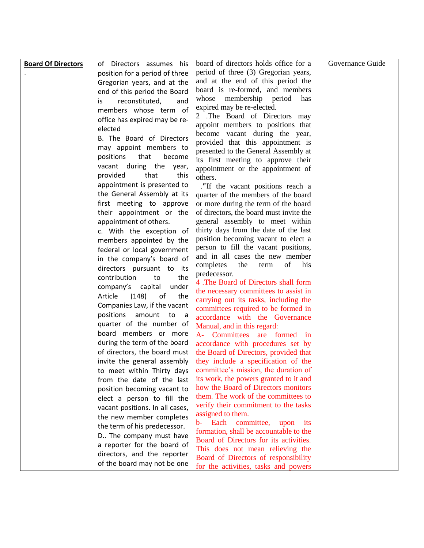| <b>Board Of Directors</b> | of Directors assumes<br>his         | board of directors holds office for a                                          | Governance Guide |
|---------------------------|-------------------------------------|--------------------------------------------------------------------------------|------------------|
|                           | position for a period of three      | period of three (3) Gregorian years,                                           |                  |
|                           | Gregorian years, and at the         | and at the end of this period the                                              |                  |
|                           | end of this period the Board        | board is re-formed, and members                                                |                  |
|                           | reconstituted,<br>is<br>and         | membership<br>whose<br>period<br>has                                           |                  |
|                           | members whose term of               | expired may be re-elected.                                                     |                  |
|                           | office has expired may be re-       | 2 .The Board of Directors may                                                  |                  |
|                           | elected                             | appoint members to positions that                                              |                  |
|                           | B. The Board of Directors           | become vacant during the year,                                                 |                  |
|                           | may appoint members to              | provided that this appointment is                                              |                  |
|                           | positions<br>that<br>become         | presented to the General Assembly at                                           |                  |
|                           | vacant during the year,             | its first meeting to approve their                                             |                  |
|                           | provided<br>that<br>this            | appointment or the appointment of<br>others.                                   |                  |
|                           | appointment is presented to         | .*If the vacant positions reach a                                              |                  |
|                           | the General Assembly at its         | quarter of the members of the board                                            |                  |
|                           | first meeting to approve            | or more during the term of the board                                           |                  |
|                           | their appointment or the            | of directors, the board must invite the                                        |                  |
|                           | appointment of others.              | general assembly to meet within                                                |                  |
|                           | c. With the exception of            | thirty days from the date of the last                                          |                  |
|                           | members appointed by the            | position becoming vacant to elect a                                            |                  |
|                           | federal or local government         | person to fill the vacant positions,                                           |                  |
|                           | in the company's board of           | and in all cases the new member                                                |                  |
|                           | directors pursuant to its           | of<br>completes<br>the<br>his<br>term                                          |                  |
|                           | contribution<br>the<br>to           | predecessor.                                                                   |                  |
|                           | company's capital<br>under          | 4. The Board of Directors shall form                                           |                  |
|                           | Article<br>(148)<br>of<br>the       | the necessary committees to assist in                                          |                  |
|                           | Companies Law, if the vacant        | carrying out its tasks, including the                                          |                  |
|                           | positions<br>amount<br>to to<br>- a | committees required to be formed in                                            |                  |
|                           | quarter of the number of            | accordance with the Governance<br>Manual, and in this regard:                  |                  |
|                           | board members or more               | A- Committees<br>formed<br>are<br>1n                                           |                  |
|                           | during the term of the board        | accordance with procedures set by                                              |                  |
|                           | of directors, the board must        | the Board of Directors, provided that                                          |                  |
|                           | invite the general assembly         | they include a specification of the                                            |                  |
|                           | to meet within Thirty days          | committee's mission, the duration of                                           |                  |
|                           | from the date of the last           | its work, the powers granted to it and                                         |                  |
|                           | position becoming vacant to         | how the Board of Directors monitors                                            |                  |
|                           | elect a person to fill the          | them. The work of the committees to                                            |                  |
|                           | vacant positions. In all cases,     | verify their commitment to the tasks                                           |                  |
|                           | the new member completes            | assigned to them.                                                              |                  |
|                           | the term of his predecessor.        | b- Each committee,<br>upon<br>$1$ ts<br>formation, shall be accountable to the |                  |
|                           | D The company must have             | Board of Directors for its activities.                                         |                  |
|                           | a reporter for the board of         | This does not mean relieving the                                               |                  |
|                           | directors, and the reporter         | Board of Directors of responsibility                                           |                  |
|                           | of the board may not be one         | for the activities, tasks and powers                                           |                  |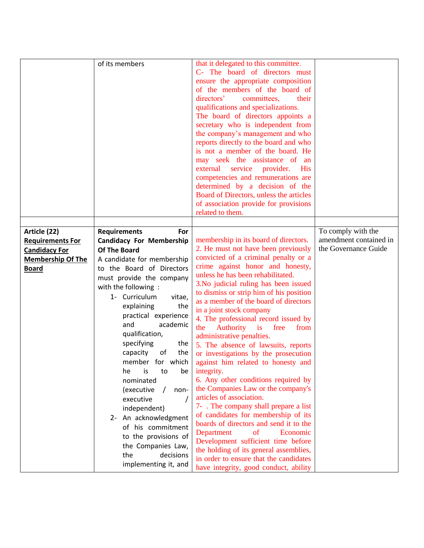|                                         | of its members                                                | that it delegated to this committee.<br>C- The board of directors must<br>ensure the appropriate composition<br>of the members of the board of<br>directors'<br>committees,<br>their<br>qualifications and specializations.<br>The board of directors appoints a<br>secretary who is independent from<br>the company's management and who<br>reports directly to the board and who<br>is not a member of the board. He<br>may seek the assistance of an<br>external service<br>provider. His<br>competencies and remunerations are<br>determined by a decision of the<br>Board of Directors, unless the articles<br>of association provide for provisions |                                              |
|-----------------------------------------|---------------------------------------------------------------|-----------------------------------------------------------------------------------------------------------------------------------------------------------------------------------------------------------------------------------------------------------------------------------------------------------------------------------------------------------------------------------------------------------------------------------------------------------------------------------------------------------------------------------------------------------------------------------------------------------------------------------------------------------|----------------------------------------------|
|                                         |                                                               | related to them.                                                                                                                                                                                                                                                                                                                                                                                                                                                                                                                                                                                                                                          |                                              |
|                                         |                                                               |                                                                                                                                                                                                                                                                                                                                                                                                                                                                                                                                                                                                                                                           |                                              |
| Article (22)<br><b>Requirements For</b> | <b>Requirements</b><br>For<br><b>Candidacy For Membership</b> | membership in its board of directors.                                                                                                                                                                                                                                                                                                                                                                                                                                                                                                                                                                                                                     | To comply with the<br>amendment contained in |
| <b>Candidacy For</b>                    | <b>Of The Board</b>                                           | 2. He must not have been previously                                                                                                                                                                                                                                                                                                                                                                                                                                                                                                                                                                                                                       | the Governance Guide                         |
| <b>Membership Of The</b>                | A candidate for membership                                    | convicted of a criminal penalty or a                                                                                                                                                                                                                                                                                                                                                                                                                                                                                                                                                                                                                      |                                              |
| <b>Board</b>                            | to the Board of Directors                                     | crime against honor and honesty,                                                                                                                                                                                                                                                                                                                                                                                                                                                                                                                                                                                                                          |                                              |
|                                         | must provide the company                                      | unless he has been rehabilitated.                                                                                                                                                                                                                                                                                                                                                                                                                                                                                                                                                                                                                         |                                              |
|                                         | with the following:                                           | 3. No judicial ruling has been issued                                                                                                                                                                                                                                                                                                                                                                                                                                                                                                                                                                                                                     |                                              |
|                                         | 1- Curriculum<br>vitae,                                       | to dismiss or strip him of his position<br>as a member of the board of directors                                                                                                                                                                                                                                                                                                                                                                                                                                                                                                                                                                          |                                              |
|                                         | explaining<br>the                                             | in a joint stock company                                                                                                                                                                                                                                                                                                                                                                                                                                                                                                                                                                                                                                  |                                              |
|                                         | practical experience                                          | 4. The professional record issued by                                                                                                                                                                                                                                                                                                                                                                                                                                                                                                                                                                                                                      |                                              |
|                                         | and<br>academic                                               | Authority<br>the<br>is<br>free<br>from                                                                                                                                                                                                                                                                                                                                                                                                                                                                                                                                                                                                                    |                                              |
|                                         | qualification,                                                | administrative penalties.                                                                                                                                                                                                                                                                                                                                                                                                                                                                                                                                                                                                                                 |                                              |
|                                         | specifying<br>the                                             | 5. The absence of lawsuits, reports                                                                                                                                                                                                                                                                                                                                                                                                                                                                                                                                                                                                                       |                                              |
|                                         | capacity<br>the<br>of                                         | or investigations by the prosecution                                                                                                                                                                                                                                                                                                                                                                                                                                                                                                                                                                                                                      |                                              |
|                                         | member for which<br>he<br>to<br>is                            | against him related to honesty and                                                                                                                                                                                                                                                                                                                                                                                                                                                                                                                                                                                                                        |                                              |
|                                         | be<br>nominated                                               | integrity.<br>6. Any other conditions required by                                                                                                                                                                                                                                                                                                                                                                                                                                                                                                                                                                                                         |                                              |
|                                         | (executive<br>non-                                            | the Companies Law or the company's                                                                                                                                                                                                                                                                                                                                                                                                                                                                                                                                                                                                                        |                                              |
|                                         | executive                                                     | articles of association.                                                                                                                                                                                                                                                                                                                                                                                                                                                                                                                                                                                                                                  |                                              |
|                                         | independent)                                                  | 7- . The company shall prepare a list                                                                                                                                                                                                                                                                                                                                                                                                                                                                                                                                                                                                                     |                                              |
|                                         | 2- An acknowledgment                                          | of candidates for membership of its                                                                                                                                                                                                                                                                                                                                                                                                                                                                                                                                                                                                                       |                                              |
|                                         | of his commitment                                             | boards of directors and send it to the                                                                                                                                                                                                                                                                                                                                                                                                                                                                                                                                                                                                                    |                                              |
|                                         | to the provisions of                                          | Economic<br>Department<br><sub>of</sub>                                                                                                                                                                                                                                                                                                                                                                                                                                                                                                                                                                                                                   |                                              |
|                                         | the Companies Law,                                            | Development sufficient time before                                                                                                                                                                                                                                                                                                                                                                                                                                                                                                                                                                                                                        |                                              |
|                                         | the<br>decisions                                              | the holding of its general assemblies,<br>in order to ensure that the candidates                                                                                                                                                                                                                                                                                                                                                                                                                                                                                                                                                                          |                                              |
|                                         | implementing it, and                                          | have integrity, good conduct, ability                                                                                                                                                                                                                                                                                                                                                                                                                                                                                                                                                                                                                     |                                              |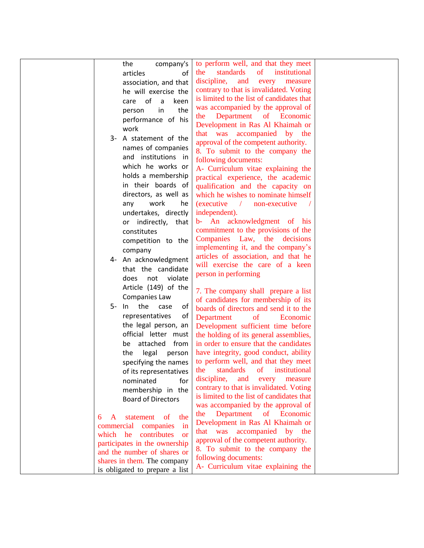| the<br>company's                       | to perform well, and that they meet                                 |  |
|----------------------------------------|---------------------------------------------------------------------|--|
| articles<br>of                         | standards<br>$\sigma$<br>institutional<br>the                       |  |
| association, and that                  | discipline,<br>and<br>measure<br>every                              |  |
| he will exercise the                   | contrary to that is invalidated. Voting                             |  |
| of<br>keen<br>$\overline{a}$<br>care   | is limited to the list of candidates that                           |  |
| the<br>in<br>person                    | was accompanied by the approval of                                  |  |
| performance of his                     | Department of Economic<br>the                                       |  |
| work                                   | Development in Ras Al Khaimah or                                    |  |
| A statement of the                     | that was accompanied by the                                         |  |
| 3-                                     | approval of the competent authority.                                |  |
| names of companies                     | 8. To submit to the company the                                     |  |
| and institutions in                    | following documents:                                                |  |
| which he works or                      | A- Curriculum vitae explaining the                                  |  |
| holds a membership                     | practical experience, the academic                                  |  |
| in their boards of                     | qualification and the capacity on                                   |  |
| directors, as well as                  | which he wishes to nominate himself                                 |  |
| work<br>he<br>any                      | <i>(executive)</i><br>$\sqrt{ }$ non-executive                      |  |
| undertakes, directly                   | independent).                                                       |  |
| or indirectly, that                    | b- An acknowledgment of his                                         |  |
| constitutes                            | commitment to the provisions of the                                 |  |
| competition to the                     | Companies Law, the<br>decisions                                     |  |
| company                                | implementing it, and the company's                                  |  |
| 4- An acknowledgment                   | articles of association, and that he                                |  |
| that the candidate                     | will exercise the care of a keen                                    |  |
| not violate<br>does                    | person in performing                                                |  |
| Article (149) of the                   | 7. The company shall prepare a list                                 |  |
| Companies Law                          | of candidates for membership of its                                 |  |
| the<br>5- In<br>case<br>of             | boards of directors and send it to the                              |  |
| of<br>representatives                  | Department<br>of<br>Economic                                        |  |
| the legal person, an                   | Development sufficient time before                                  |  |
| official letter must                   | the holding of its general assemblies,                              |  |
| be attached from                       | in order to ensure that the candidates                              |  |
| legal<br>the<br>person                 | have integrity, good conduct, ability                               |  |
| specifying the names                   | to perform well, and that they meet                                 |  |
| of its representatives                 | standards of institutional<br>the                                   |  |
| nominated<br>for                       | discipline,<br>and<br>every<br>measure                              |  |
| membership in the                      | contrary to that is invalidated. Voting                             |  |
| <b>Board of Directors</b>              | is limited to the list of candidates that                           |  |
|                                        | was accompanied by the approval of                                  |  |
| statement<br>$\sigma$<br>the<br>6<br>A | Department of Economic<br>the                                       |  |
| commercial<br>companies<br>in          | Development in Ras Al Khaimah or                                    |  |
| which he<br>contributes<br><b>or</b>   | that was accompanied by the<br>approval of the competent authority. |  |
| participates in the ownership          | 8. To submit to the company the                                     |  |
| and the number of shares or            | following documents:                                                |  |
| shares in them. The company            | A- Curriculum vitae explaining the                                  |  |
| is obligated to prepare a list         |                                                                     |  |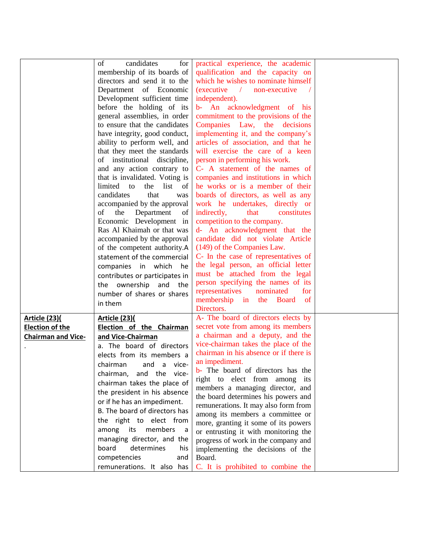|                           | of<br>candidates<br>for                   | practical experience, the academic                                 |  |
|---------------------------|-------------------------------------------|--------------------------------------------------------------------|--|
|                           | membership of its boards of               | qualification and the capacity on                                  |  |
|                           | directors and send it to the              | which he wishes to nominate himself                                |  |
|                           | Department of Economic                    | (executive / non-executive                                         |  |
|                           | Development sufficient time               | independent).                                                      |  |
|                           | before the holding of its                 | b- An acknowledgment of his                                        |  |
|                           | general assemblies, in order              | commitment to the provisions of the                                |  |
|                           | to ensure that the candidates             | Companies Law, the<br>decisions                                    |  |
|                           | have integrity, good conduct,             | implementing it, and the company's                                 |  |
|                           | ability to perform well, and              | articles of association, and that he                               |  |
|                           | that they meet the standards              | will exercise the care of a keen                                   |  |
|                           | of institutional discipline,              | person in performing his work.                                     |  |
|                           | and any action contrary to                | C- A statement of the names of                                     |  |
|                           | that is invalidated. Voting is            | companies and institutions in which                                |  |
|                           | limited to<br>the list<br>of              | he works or is a member of their                                   |  |
|                           | candidates<br>that<br>was                 | boards of directors, as well as any                                |  |
|                           | accompanied by the approval               | work he undertakes, directly or                                    |  |
|                           | the<br>Department<br>of<br>of             | indirectly,<br>that<br>constitutes                                 |  |
|                           | Economic Development in                   | competition to the company.                                        |  |
|                           | Ras Al Khaimah or that was                |                                                                    |  |
|                           |                                           | d- An acknowledgment that the<br>candidate did not violate Article |  |
|                           | accompanied by the approval               |                                                                    |  |
|                           | of the competent authority.A              | (149) of the Companies Law.                                        |  |
|                           | statement of the commercial               | C- In the case of representatives of                               |  |
|                           | companies in which<br>he                  | the legal person, an official letter                               |  |
|                           | contributes or participates in            | must be attached from the legal                                    |  |
|                           | the ownership and the                     | person specifying the names of its                                 |  |
|                           | number of shares or shares                | representatives<br>nominated<br>for                                |  |
|                           | in them                                   | membership in<br><b>Board</b> of<br>the                            |  |
|                           |                                           | Directors.                                                         |  |
| <b>Article (23)(</b>      | <b>Article (23)(</b>                      | A- The board of directors elects by                                |  |
| <b>Election of the</b>    | Election of the Chairman                  | secret vote from among its members                                 |  |
| <b>Chairman and Vice-</b> | and Vice-Chairman                         | a chairman and a deputy, and the                                   |  |
|                           | a. The board of directors                 | vice-chairman takes the place of the                               |  |
|                           | elects from its members a                 | chairman in his absence or if there is                             |  |
|                           | chairman<br>and a vice-                   | an impediment.                                                     |  |
|                           | chairman, and the vice-                   | <b>b</b> - The board of directors has the                          |  |
|                           |                                           | right to elect from among its                                      |  |
|                           | chairman takes the place of               | members a managing director, and                                   |  |
|                           | the president in his absence              | the board determines his powers and                                |  |
|                           | or if he has an impediment.               | remunerations. It may also form from                               |  |
|                           | B. The board of directors has             | among its members a committee or                                   |  |
|                           | the right to elect from                   | more, granting it some of its powers                               |  |
|                           | among<br>its<br>members<br>$\overline{a}$ | or entrusting it with monitoring the                               |  |
|                           | managing director, and the                | progress of work in the company and                                |  |
|                           | board<br>determines<br>his                | implementing the decisions of the                                  |  |
|                           | competencies<br>and                       | Board.                                                             |  |
|                           | remunerations. It also has                | C. It is prohibited to combine the                                 |  |
|                           |                                           |                                                                    |  |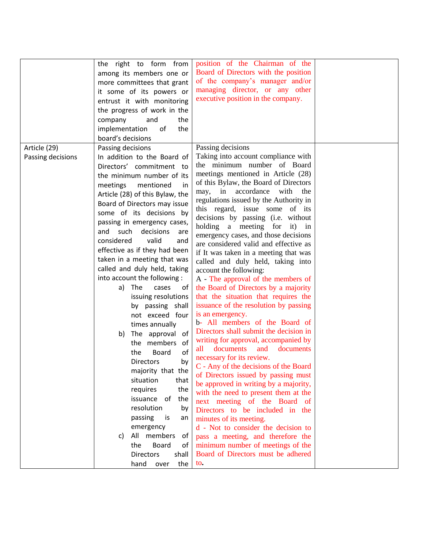| Article (29)      | the right to form from<br>among its members one or<br>more committees that grant<br>it some of its powers or<br>entrust it with monitoring<br>the progress of work in the<br>company<br>and<br>the<br>implementation<br>the<br>of<br>board's decisions<br>Passing decisions                                                                                                                                                                                                                                                                                                                                                                                                                                                                                                                                                                                                                                                      | position of the Chairman of the<br>Board of Directors with the position<br>of the company's manager and/or<br>managing director, or any other<br>executive position in the company.<br>Passing decisions                                                                                                                                                                                                                                                                                                                                                                                                                                                                                                                                                                                                                                                                                                                                                                                                                                                                                                                                                                                                                                                                                                                                         |  |
|-------------------|----------------------------------------------------------------------------------------------------------------------------------------------------------------------------------------------------------------------------------------------------------------------------------------------------------------------------------------------------------------------------------------------------------------------------------------------------------------------------------------------------------------------------------------------------------------------------------------------------------------------------------------------------------------------------------------------------------------------------------------------------------------------------------------------------------------------------------------------------------------------------------------------------------------------------------|--------------------------------------------------------------------------------------------------------------------------------------------------------------------------------------------------------------------------------------------------------------------------------------------------------------------------------------------------------------------------------------------------------------------------------------------------------------------------------------------------------------------------------------------------------------------------------------------------------------------------------------------------------------------------------------------------------------------------------------------------------------------------------------------------------------------------------------------------------------------------------------------------------------------------------------------------------------------------------------------------------------------------------------------------------------------------------------------------------------------------------------------------------------------------------------------------------------------------------------------------------------------------------------------------------------------------------------------------|--|
| Passing decisions | In addition to the Board of<br>Directors' commitment to<br>the minimum number of its<br>meetings<br>mentioned<br>in<br>Article (28) of this Bylaw, the<br>Board of Directors may issue<br>some of its decisions by<br>passing in emergency cases,<br>such<br>decisions<br>and<br>are<br>and<br>considered<br>valid<br>effective as if they had been<br>taken in a meeting that was<br>called and duly held, taking<br>into account the following :<br>The<br>a)<br>cases<br>ot<br>issuing resolutions<br>by passing shall<br>not exceed four<br>times annually<br>The approval<br>of<br>b)<br>the members<br>of<br>of<br><b>Board</b><br>the<br><b>Directors</b><br>by<br>majority that the<br>situation<br>that<br>the<br>requires<br>the<br>issuance of<br>resolution<br>by<br>passing<br>is<br>an<br>emergency<br>members<br>All<br>of<br>C)<br>the<br><b>Board</b><br>of<br><b>Directors</b><br>shall<br>the<br>hand<br>over | Taking into account compliance with<br>the minimum number of Board<br>meetings mentioned in Article (28)<br>of this Bylaw, the Board of Directors<br>in<br>accordance<br>with<br>the<br>may,<br>regulations issued by the Authority in<br>this regard, issue some of its<br>decisions by passing (i.e. without<br>holding a meeting for it) in<br>emergency cases, and those decisions<br>are considered valid and effective as<br>if It was taken in a meeting that was<br>called and duly held, taking into<br>account the following:<br>A - The approval of the members of<br>the Board of Directors by a majority<br>that the situation that requires the<br>issuance of the resolution by passing<br>is an emergency.<br>b- All members of the Board of<br>Directors shall submit the decision in<br>writing for approval, accompanied by<br>documents<br>documents<br>and<br>all<br>necessary for its review.<br>C - Any of the decisions of the Board<br>of Directors issued by passing must<br>be approved in writing by a majority,<br>with the need to present them at the<br>next meeting of the Board of<br>Directors to be included in the<br>minutes of its meeting.<br>d - Not to consider the decision to<br>pass a meeting, and therefore the<br>minimum number of meetings of the<br>Board of Directors must be adhered<br>to. |  |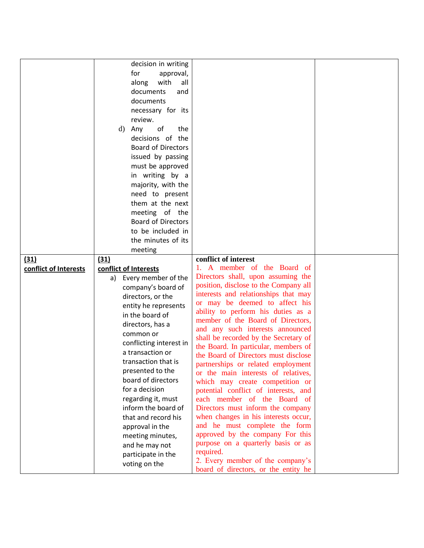| for<br>approval,<br>with<br>all<br>along<br>documents<br>and<br>documents<br>necessary for its<br>review.<br>Any<br>of<br>the<br>d)<br>decisions of the<br><b>Board of Directors</b><br>issued by passing<br>must be approved<br>in writing by a<br>majority, with the<br>need to present<br>them at the next<br>meeting of the<br><b>Board of Directors</b><br>to be included in<br>the minutes of its<br>meeting<br>conflict of interest<br>(31)<br>(31)<br>1. A member of the Board of<br>conflict of Interests<br>conflict of Interests<br>Directors shall, upon assuming the<br>Every member of the<br>a)<br>position, disclose to the Company all<br>company's board of<br>interests and relationships that may<br>directors, or the<br>or may be deemed to affect his<br>entity he represents<br>ability to perform his duties as a<br>in the board of<br>member of the Board of Directors,<br>directors, has a<br>and any such interests announced<br>common or<br>shall be recorded by the Secretary of<br>conflicting interest in<br>the Board. In particular, members of<br>a transaction or<br>the Board of Directors must disclose<br>transaction that is<br>partnerships or related employment<br>presented to the<br>or the main interests of relatives,<br>board of directors<br>which may create competition or<br>for a decision<br>potential conflict of interests, and<br>regarding it, must<br>each member of the Board of<br>inform the board of<br>Directors must inform the company<br>when changes in his interests occur,<br>that and record his<br>and he must complete the form<br>approval in the<br>approved by the company For this<br>meeting minutes,<br>purpose on a quarterly basis or as<br>and he may not<br>required.<br>participate in the |                     |                                  |  |
|-----------------------------------------------------------------------------------------------------------------------------------------------------------------------------------------------------------------------------------------------------------------------------------------------------------------------------------------------------------------------------------------------------------------------------------------------------------------------------------------------------------------------------------------------------------------------------------------------------------------------------------------------------------------------------------------------------------------------------------------------------------------------------------------------------------------------------------------------------------------------------------------------------------------------------------------------------------------------------------------------------------------------------------------------------------------------------------------------------------------------------------------------------------------------------------------------------------------------------------------------------------------------------------------------------------------------------------------------------------------------------------------------------------------------------------------------------------------------------------------------------------------------------------------------------------------------------------------------------------------------------------------------------------------------------------------------------------------------------------------------------------------------------------|---------------------|----------------------------------|--|
|                                                                                                                                                                                                                                                                                                                                                                                                                                                                                                                                                                                                                                                                                                                                                                                                                                                                                                                                                                                                                                                                                                                                                                                                                                                                                                                                                                                                                                                                                                                                                                                                                                                                                                                                                                                   | decision in writing |                                  |  |
|                                                                                                                                                                                                                                                                                                                                                                                                                                                                                                                                                                                                                                                                                                                                                                                                                                                                                                                                                                                                                                                                                                                                                                                                                                                                                                                                                                                                                                                                                                                                                                                                                                                                                                                                                                                   |                     |                                  |  |
|                                                                                                                                                                                                                                                                                                                                                                                                                                                                                                                                                                                                                                                                                                                                                                                                                                                                                                                                                                                                                                                                                                                                                                                                                                                                                                                                                                                                                                                                                                                                                                                                                                                                                                                                                                                   |                     |                                  |  |
|                                                                                                                                                                                                                                                                                                                                                                                                                                                                                                                                                                                                                                                                                                                                                                                                                                                                                                                                                                                                                                                                                                                                                                                                                                                                                                                                                                                                                                                                                                                                                                                                                                                                                                                                                                                   |                     |                                  |  |
|                                                                                                                                                                                                                                                                                                                                                                                                                                                                                                                                                                                                                                                                                                                                                                                                                                                                                                                                                                                                                                                                                                                                                                                                                                                                                                                                                                                                                                                                                                                                                                                                                                                                                                                                                                                   |                     |                                  |  |
|                                                                                                                                                                                                                                                                                                                                                                                                                                                                                                                                                                                                                                                                                                                                                                                                                                                                                                                                                                                                                                                                                                                                                                                                                                                                                                                                                                                                                                                                                                                                                                                                                                                                                                                                                                                   |                     |                                  |  |
|                                                                                                                                                                                                                                                                                                                                                                                                                                                                                                                                                                                                                                                                                                                                                                                                                                                                                                                                                                                                                                                                                                                                                                                                                                                                                                                                                                                                                                                                                                                                                                                                                                                                                                                                                                                   |                     |                                  |  |
|                                                                                                                                                                                                                                                                                                                                                                                                                                                                                                                                                                                                                                                                                                                                                                                                                                                                                                                                                                                                                                                                                                                                                                                                                                                                                                                                                                                                                                                                                                                                                                                                                                                                                                                                                                                   |                     |                                  |  |
|                                                                                                                                                                                                                                                                                                                                                                                                                                                                                                                                                                                                                                                                                                                                                                                                                                                                                                                                                                                                                                                                                                                                                                                                                                                                                                                                                                                                                                                                                                                                                                                                                                                                                                                                                                                   |                     |                                  |  |
|                                                                                                                                                                                                                                                                                                                                                                                                                                                                                                                                                                                                                                                                                                                                                                                                                                                                                                                                                                                                                                                                                                                                                                                                                                                                                                                                                                                                                                                                                                                                                                                                                                                                                                                                                                                   |                     |                                  |  |
|                                                                                                                                                                                                                                                                                                                                                                                                                                                                                                                                                                                                                                                                                                                                                                                                                                                                                                                                                                                                                                                                                                                                                                                                                                                                                                                                                                                                                                                                                                                                                                                                                                                                                                                                                                                   |                     |                                  |  |
|                                                                                                                                                                                                                                                                                                                                                                                                                                                                                                                                                                                                                                                                                                                                                                                                                                                                                                                                                                                                                                                                                                                                                                                                                                                                                                                                                                                                                                                                                                                                                                                                                                                                                                                                                                                   |                     |                                  |  |
|                                                                                                                                                                                                                                                                                                                                                                                                                                                                                                                                                                                                                                                                                                                                                                                                                                                                                                                                                                                                                                                                                                                                                                                                                                                                                                                                                                                                                                                                                                                                                                                                                                                                                                                                                                                   |                     |                                  |  |
|                                                                                                                                                                                                                                                                                                                                                                                                                                                                                                                                                                                                                                                                                                                                                                                                                                                                                                                                                                                                                                                                                                                                                                                                                                                                                                                                                                                                                                                                                                                                                                                                                                                                                                                                                                                   |                     |                                  |  |
|                                                                                                                                                                                                                                                                                                                                                                                                                                                                                                                                                                                                                                                                                                                                                                                                                                                                                                                                                                                                                                                                                                                                                                                                                                                                                                                                                                                                                                                                                                                                                                                                                                                                                                                                                                                   |                     |                                  |  |
|                                                                                                                                                                                                                                                                                                                                                                                                                                                                                                                                                                                                                                                                                                                                                                                                                                                                                                                                                                                                                                                                                                                                                                                                                                                                                                                                                                                                                                                                                                                                                                                                                                                                                                                                                                                   |                     |                                  |  |
|                                                                                                                                                                                                                                                                                                                                                                                                                                                                                                                                                                                                                                                                                                                                                                                                                                                                                                                                                                                                                                                                                                                                                                                                                                                                                                                                                                                                                                                                                                                                                                                                                                                                                                                                                                                   |                     |                                  |  |
|                                                                                                                                                                                                                                                                                                                                                                                                                                                                                                                                                                                                                                                                                                                                                                                                                                                                                                                                                                                                                                                                                                                                                                                                                                                                                                                                                                                                                                                                                                                                                                                                                                                                                                                                                                                   |                     |                                  |  |
|                                                                                                                                                                                                                                                                                                                                                                                                                                                                                                                                                                                                                                                                                                                                                                                                                                                                                                                                                                                                                                                                                                                                                                                                                                                                                                                                                                                                                                                                                                                                                                                                                                                                                                                                                                                   |                     |                                  |  |
|                                                                                                                                                                                                                                                                                                                                                                                                                                                                                                                                                                                                                                                                                                                                                                                                                                                                                                                                                                                                                                                                                                                                                                                                                                                                                                                                                                                                                                                                                                                                                                                                                                                                                                                                                                                   |                     |                                  |  |
|                                                                                                                                                                                                                                                                                                                                                                                                                                                                                                                                                                                                                                                                                                                                                                                                                                                                                                                                                                                                                                                                                                                                                                                                                                                                                                                                                                                                                                                                                                                                                                                                                                                                                                                                                                                   |                     |                                  |  |
|                                                                                                                                                                                                                                                                                                                                                                                                                                                                                                                                                                                                                                                                                                                                                                                                                                                                                                                                                                                                                                                                                                                                                                                                                                                                                                                                                                                                                                                                                                                                                                                                                                                                                                                                                                                   |                     |                                  |  |
|                                                                                                                                                                                                                                                                                                                                                                                                                                                                                                                                                                                                                                                                                                                                                                                                                                                                                                                                                                                                                                                                                                                                                                                                                                                                                                                                                                                                                                                                                                                                                                                                                                                                                                                                                                                   |                     |                                  |  |
|                                                                                                                                                                                                                                                                                                                                                                                                                                                                                                                                                                                                                                                                                                                                                                                                                                                                                                                                                                                                                                                                                                                                                                                                                                                                                                                                                                                                                                                                                                                                                                                                                                                                                                                                                                                   |                     |                                  |  |
|                                                                                                                                                                                                                                                                                                                                                                                                                                                                                                                                                                                                                                                                                                                                                                                                                                                                                                                                                                                                                                                                                                                                                                                                                                                                                                                                                                                                                                                                                                                                                                                                                                                                                                                                                                                   |                     |                                  |  |
|                                                                                                                                                                                                                                                                                                                                                                                                                                                                                                                                                                                                                                                                                                                                                                                                                                                                                                                                                                                                                                                                                                                                                                                                                                                                                                                                                                                                                                                                                                                                                                                                                                                                                                                                                                                   |                     |                                  |  |
|                                                                                                                                                                                                                                                                                                                                                                                                                                                                                                                                                                                                                                                                                                                                                                                                                                                                                                                                                                                                                                                                                                                                                                                                                                                                                                                                                                                                                                                                                                                                                                                                                                                                                                                                                                                   |                     |                                  |  |
|                                                                                                                                                                                                                                                                                                                                                                                                                                                                                                                                                                                                                                                                                                                                                                                                                                                                                                                                                                                                                                                                                                                                                                                                                                                                                                                                                                                                                                                                                                                                                                                                                                                                                                                                                                                   |                     |                                  |  |
|                                                                                                                                                                                                                                                                                                                                                                                                                                                                                                                                                                                                                                                                                                                                                                                                                                                                                                                                                                                                                                                                                                                                                                                                                                                                                                                                                                                                                                                                                                                                                                                                                                                                                                                                                                                   |                     |                                  |  |
|                                                                                                                                                                                                                                                                                                                                                                                                                                                                                                                                                                                                                                                                                                                                                                                                                                                                                                                                                                                                                                                                                                                                                                                                                                                                                                                                                                                                                                                                                                                                                                                                                                                                                                                                                                                   |                     |                                  |  |
|                                                                                                                                                                                                                                                                                                                                                                                                                                                                                                                                                                                                                                                                                                                                                                                                                                                                                                                                                                                                                                                                                                                                                                                                                                                                                                                                                                                                                                                                                                                                                                                                                                                                                                                                                                                   |                     |                                  |  |
|                                                                                                                                                                                                                                                                                                                                                                                                                                                                                                                                                                                                                                                                                                                                                                                                                                                                                                                                                                                                                                                                                                                                                                                                                                                                                                                                                                                                                                                                                                                                                                                                                                                                                                                                                                                   |                     |                                  |  |
|                                                                                                                                                                                                                                                                                                                                                                                                                                                                                                                                                                                                                                                                                                                                                                                                                                                                                                                                                                                                                                                                                                                                                                                                                                                                                                                                                                                                                                                                                                                                                                                                                                                                                                                                                                                   |                     |                                  |  |
|                                                                                                                                                                                                                                                                                                                                                                                                                                                                                                                                                                                                                                                                                                                                                                                                                                                                                                                                                                                                                                                                                                                                                                                                                                                                                                                                                                                                                                                                                                                                                                                                                                                                                                                                                                                   |                     |                                  |  |
|                                                                                                                                                                                                                                                                                                                                                                                                                                                                                                                                                                                                                                                                                                                                                                                                                                                                                                                                                                                                                                                                                                                                                                                                                                                                                                                                                                                                                                                                                                                                                                                                                                                                                                                                                                                   |                     |                                  |  |
|                                                                                                                                                                                                                                                                                                                                                                                                                                                                                                                                                                                                                                                                                                                                                                                                                                                                                                                                                                                                                                                                                                                                                                                                                                                                                                                                                                                                                                                                                                                                                                                                                                                                                                                                                                                   |                     |                                  |  |
|                                                                                                                                                                                                                                                                                                                                                                                                                                                                                                                                                                                                                                                                                                                                                                                                                                                                                                                                                                                                                                                                                                                                                                                                                                                                                                                                                                                                                                                                                                                                                                                                                                                                                                                                                                                   |                     |                                  |  |
|                                                                                                                                                                                                                                                                                                                                                                                                                                                                                                                                                                                                                                                                                                                                                                                                                                                                                                                                                                                                                                                                                                                                                                                                                                                                                                                                                                                                                                                                                                                                                                                                                                                                                                                                                                                   |                     |                                  |  |
|                                                                                                                                                                                                                                                                                                                                                                                                                                                                                                                                                                                                                                                                                                                                                                                                                                                                                                                                                                                                                                                                                                                                                                                                                                                                                                                                                                                                                                                                                                                                                                                                                                                                                                                                                                                   |                     |                                  |  |
|                                                                                                                                                                                                                                                                                                                                                                                                                                                                                                                                                                                                                                                                                                                                                                                                                                                                                                                                                                                                                                                                                                                                                                                                                                                                                                                                                                                                                                                                                                                                                                                                                                                                                                                                                                                   |                     |                                  |  |
|                                                                                                                                                                                                                                                                                                                                                                                                                                                                                                                                                                                                                                                                                                                                                                                                                                                                                                                                                                                                                                                                                                                                                                                                                                                                                                                                                                                                                                                                                                                                                                                                                                                                                                                                                                                   |                     |                                  |  |
|                                                                                                                                                                                                                                                                                                                                                                                                                                                                                                                                                                                                                                                                                                                                                                                                                                                                                                                                                                                                                                                                                                                                                                                                                                                                                                                                                                                                                                                                                                                                                                                                                                                                                                                                                                                   |                     |                                  |  |
|                                                                                                                                                                                                                                                                                                                                                                                                                                                                                                                                                                                                                                                                                                                                                                                                                                                                                                                                                                                                                                                                                                                                                                                                                                                                                                                                                                                                                                                                                                                                                                                                                                                                                                                                                                                   |                     |                                  |  |
|                                                                                                                                                                                                                                                                                                                                                                                                                                                                                                                                                                                                                                                                                                                                                                                                                                                                                                                                                                                                                                                                                                                                                                                                                                                                                                                                                                                                                                                                                                                                                                                                                                                                                                                                                                                   |                     |                                  |  |
|                                                                                                                                                                                                                                                                                                                                                                                                                                                                                                                                                                                                                                                                                                                                                                                                                                                                                                                                                                                                                                                                                                                                                                                                                                                                                                                                                                                                                                                                                                                                                                                                                                                                                                                                                                                   |                     |                                  |  |
|                                                                                                                                                                                                                                                                                                                                                                                                                                                                                                                                                                                                                                                                                                                                                                                                                                                                                                                                                                                                                                                                                                                                                                                                                                                                                                                                                                                                                                                                                                                                                                                                                                                                                                                                                                                   |                     |                                  |  |
|                                                                                                                                                                                                                                                                                                                                                                                                                                                                                                                                                                                                                                                                                                                                                                                                                                                                                                                                                                                                                                                                                                                                                                                                                                                                                                                                                                                                                                                                                                                                                                                                                                                                                                                                                                                   |                     |                                  |  |
| voting on the<br>board of directors, or the entity he                                                                                                                                                                                                                                                                                                                                                                                                                                                                                                                                                                                                                                                                                                                                                                                                                                                                                                                                                                                                                                                                                                                                                                                                                                                                                                                                                                                                                                                                                                                                                                                                                                                                                                                             |                     | 2. Every member of the company's |  |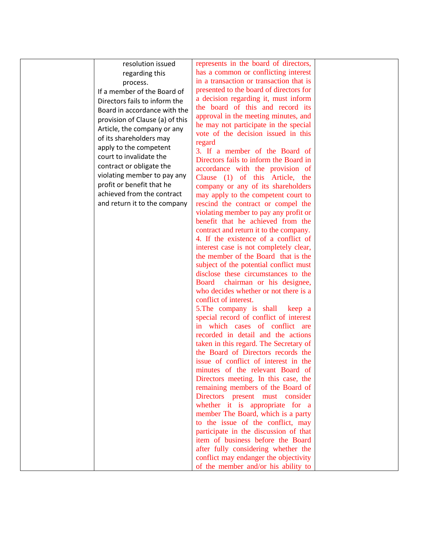| resolution issued               | represents in the board of directors,     |  |
|---------------------------------|-------------------------------------------|--|
| regarding this                  | has a common or conflicting interest      |  |
| process.                        | in a transaction or transaction that is   |  |
|                                 | presented to the board of directors for   |  |
| If a member of the Board of     | a decision regarding it, must inform      |  |
| Directors fails to inform the   | the board of this and record its          |  |
| Board in accordance with the    | approval in the meeting minutes, and      |  |
| provision of Clause (a) of this |                                           |  |
| Article, the company or any     | he may not participate in the special     |  |
| of its shareholders may         | vote of the decision issued in this       |  |
| apply to the competent          | regard                                    |  |
| court to invalidate the         | 3. If a member of the Board of            |  |
| contract or obligate the        | Directors fails to inform the Board in    |  |
| violating member to pay any     | accordance with the provision of          |  |
| profit or benefit that he       | Clause (1) of this Article, the           |  |
| achieved from the contract      | company or any of its shareholders        |  |
|                                 | may apply to the competent court to       |  |
| and return it to the company    | rescind the contract or compel the        |  |
|                                 | violating member to pay any profit or     |  |
|                                 | benefit that he achieved from the         |  |
|                                 | contract and return it to the company.    |  |
|                                 | 4. If the existence of a conflict of      |  |
|                                 | interest case is not completely clear,    |  |
|                                 | the member of the Board that is the       |  |
|                                 | subject of the potential conflict must    |  |
|                                 | disclose these circumstances to the       |  |
|                                 | <b>Board</b><br>chairman or his designee, |  |
|                                 | who decides whether or not there is a     |  |
|                                 | conflict of interest.                     |  |
|                                 | 5. The company is shall keep a            |  |
|                                 | special record of conflict of interest    |  |
|                                 | in which cases of conflict are            |  |
|                                 | recorded in detail and the actions        |  |
|                                 | taken in this regard. The Secretary of    |  |
|                                 | the Board of Directors records the        |  |
|                                 | issue of conflict of interest in the      |  |
|                                 | minutes of the relevant Board of          |  |
|                                 | Directors meeting. In this case, the      |  |
|                                 | remaining members of the Board of         |  |
|                                 | Directors present must consider           |  |
|                                 | whether it is appropriate for a           |  |
|                                 | member The Board, which is a party        |  |
|                                 | to the issue of the conflict, may         |  |
|                                 | participate in the discussion of that     |  |
|                                 | item of business before the Board         |  |
|                                 | after fully considering whether the       |  |
|                                 | conflict may endanger the objectivity     |  |
|                                 |                                           |  |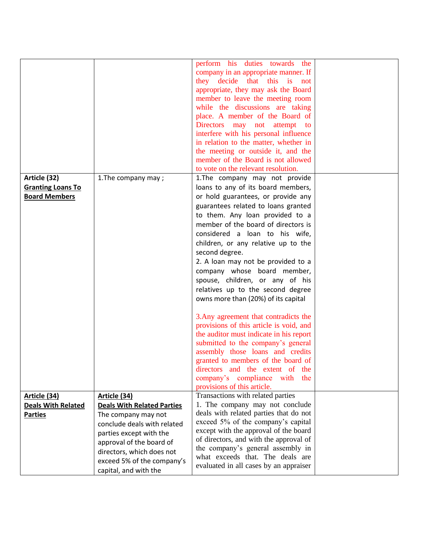|                                                                  |                                                                                                              | perform his duties towards the<br>company in an appropriate manner. If<br>they decide that this is not<br>appropriate, they may ask the Board<br>member to leave the meeting room<br>while the discussions are taking<br>place. A member of the Board of<br><b>Directors</b><br>may not attempt<br>to                                                                                                                                                                                                                                                                                                                                                                                                                                                                                        |  |
|------------------------------------------------------------------|--------------------------------------------------------------------------------------------------------------|----------------------------------------------------------------------------------------------------------------------------------------------------------------------------------------------------------------------------------------------------------------------------------------------------------------------------------------------------------------------------------------------------------------------------------------------------------------------------------------------------------------------------------------------------------------------------------------------------------------------------------------------------------------------------------------------------------------------------------------------------------------------------------------------|--|
|                                                                  |                                                                                                              | interfere with his personal influence<br>in relation to the matter, whether in<br>the meeting or outside it, and the                                                                                                                                                                                                                                                                                                                                                                                                                                                                                                                                                                                                                                                                         |  |
|                                                                  |                                                                                                              | member of the Board is not allowed<br>to vote on the relevant resolution.                                                                                                                                                                                                                                                                                                                                                                                                                                                                                                                                                                                                                                                                                                                    |  |
| Article (32)<br><b>Granting Loans To</b><br><b>Board Members</b> | 1. The company may;                                                                                          | 1. The company may not provide<br>loans to any of its board members,<br>or hold guarantees, or provide any<br>guarantees related to loans granted<br>to them. Any loan provided to a<br>member of the board of directors is<br>considered a loan to his wife,<br>children, or any relative up to the<br>second degree.<br>2. A loan may not be provided to a<br>company whose board member,<br>spouse, children, or any of his<br>relatives up to the second degree<br>owns more than (20%) of its capital<br>3. Any agreement that contradicts the<br>provisions of this article is void, and<br>the auditor must indicate in his report<br>submitted to the company's general<br>assembly those loans and credits<br>granted to members of the board of<br>directors and the extent of the |  |
|                                                                  |                                                                                                              | company's compliance<br>with the<br>provisions of this article.                                                                                                                                                                                                                                                                                                                                                                                                                                                                                                                                                                                                                                                                                                                              |  |
| <u>Article (34)</u>                                              | Article (34)                                                                                                 | Transactions with related parties                                                                                                                                                                                                                                                                                                                                                                                                                                                                                                                                                                                                                                                                                                                                                            |  |
| <b>Deals With Related</b>                                        | <b>Deals With Related Parties</b>                                                                            | 1. The company may not conclude                                                                                                                                                                                                                                                                                                                                                                                                                                                                                                                                                                                                                                                                                                                                                              |  |
| <b>Parties</b>                                                   | The company may not<br>conclude deals with related<br>parties except with the                                | deals with related parties that do not<br>exceed 5% of the company's capital<br>except with the approval of the board                                                                                                                                                                                                                                                                                                                                                                                                                                                                                                                                                                                                                                                                        |  |
|                                                                  | approval of the board of<br>directors, which does not<br>exceed 5% of the company's<br>capital, and with the | of directors, and with the approval of<br>the company's general assembly in<br>what exceeds that. The deals are<br>evaluated in all cases by an appraiser                                                                                                                                                                                                                                                                                                                                                                                                                                                                                                                                                                                                                                    |  |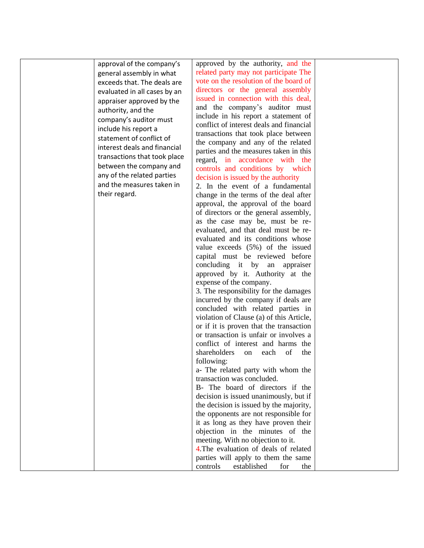|                              | approved by the authority, and the       |  |
|------------------------------|------------------------------------------|--|
| approval of the company's    |                                          |  |
| general assembly in what     | related party may not participate The    |  |
| exceeds that. The deals are  | vote on the resolution of the board of   |  |
| evaluated in all cases by an | directors or the general assembly        |  |
| appraiser approved by the    | issued in connection with this deal,     |  |
|                              | and the company's auditor must           |  |
| authority, and the           | include in his report a statement of     |  |
| company's auditor must       | conflict of interest deals and financial |  |
| include his report a         |                                          |  |
| statement of conflict of     | transactions that took place between     |  |
| interest deals and financial | the company and any of the related       |  |
|                              | parties and the measures taken in this   |  |
| transactions that took place | regard, in accordance with the           |  |
| between the company and      | controls and conditions by which         |  |
| any of the related parties   | decision is issued by the authority      |  |
| and the measures taken in    | 2. In the event of a fundamental         |  |
| their regard.                | change in the terms of the deal after    |  |
|                              |                                          |  |
|                              | approval, the approval of the board      |  |
|                              | of directors or the general assembly,    |  |
|                              | as the case may be, must be re-          |  |
|                              | evaluated, and that deal must be re-     |  |
|                              | evaluated and its conditions whose       |  |
|                              | value exceeds (5%) of the issued         |  |
|                              | capital must be reviewed before          |  |
|                              | concluding it by<br>an appraiser         |  |
|                              | approved by it. Authority at the         |  |
|                              |                                          |  |
|                              | expense of the company.                  |  |
|                              | 3. The responsibility for the damages    |  |
|                              | incurred by the company if deals are     |  |
|                              | concluded with related parties in        |  |
|                              | violation of Clause (a) of this Article, |  |
|                              | or if it is proven that the transaction  |  |
|                              | or transaction is unfair or involves a   |  |
|                              | conflict of interest and harms the       |  |
|                              | shareholders<br>each<br>of<br>the<br>on  |  |
|                              |                                          |  |
|                              | following:                               |  |
|                              | a- The related party with whom the       |  |
|                              | transaction was concluded.               |  |
|                              | B- The board of directors if the         |  |
|                              | decision is issued unanimously, but if   |  |
|                              | the decision is issued by the majority,  |  |
|                              | the opponents are not responsible for    |  |
|                              | it as long as they have proven their     |  |
|                              | objection in the minutes of the          |  |
|                              | meeting. With no objection to it.        |  |
|                              | 4. The evaluation of deals of related    |  |
|                              |                                          |  |
|                              | parties will apply to them the same      |  |
|                              | controls<br>established<br>for<br>the    |  |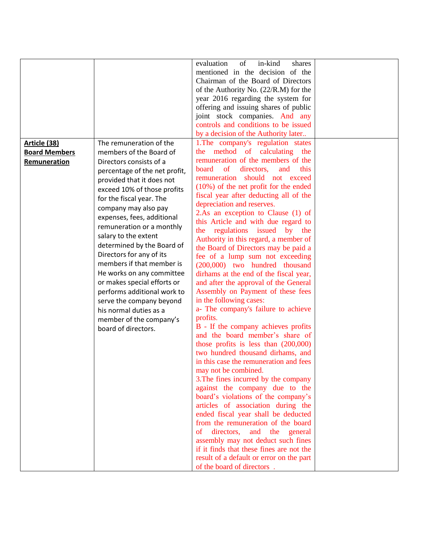| evaluation<br>of<br>in-kind<br>shares<br>mentioned in the decision of the<br>Chairman of the Board of Directors<br>of the Authority No. (22/R.M) for the<br>year 2016 regarding the system for<br>offering and issuing shares of public<br>joint stock companies. And any<br>controls and conditions to be issued<br>by a decision of the Authority later<br>The remuneration of the<br>1. The company's regulation states<br>Article (38)<br>the method of calculating the<br>members of the Board of<br><b>Board Members</b><br>remuneration of the members of the<br>Directors consists of a<br>Remuneration<br>of<br>directors,<br>this<br>board<br>and<br>percentage of the net profit,<br>remuneration should not exceed<br>provided that it does not<br>$(10\%)$ of the net profit for the ended |
|---------------------------------------------------------------------------------------------------------------------------------------------------------------------------------------------------------------------------------------------------------------------------------------------------------------------------------------------------------------------------------------------------------------------------------------------------------------------------------------------------------------------------------------------------------------------------------------------------------------------------------------------------------------------------------------------------------------------------------------------------------------------------------------------------------|
|                                                                                                                                                                                                                                                                                                                                                                                                                                                                                                                                                                                                                                                                                                                                                                                                         |
|                                                                                                                                                                                                                                                                                                                                                                                                                                                                                                                                                                                                                                                                                                                                                                                                         |
|                                                                                                                                                                                                                                                                                                                                                                                                                                                                                                                                                                                                                                                                                                                                                                                                         |
|                                                                                                                                                                                                                                                                                                                                                                                                                                                                                                                                                                                                                                                                                                                                                                                                         |
|                                                                                                                                                                                                                                                                                                                                                                                                                                                                                                                                                                                                                                                                                                                                                                                                         |
|                                                                                                                                                                                                                                                                                                                                                                                                                                                                                                                                                                                                                                                                                                                                                                                                         |
|                                                                                                                                                                                                                                                                                                                                                                                                                                                                                                                                                                                                                                                                                                                                                                                                         |
|                                                                                                                                                                                                                                                                                                                                                                                                                                                                                                                                                                                                                                                                                                                                                                                                         |
|                                                                                                                                                                                                                                                                                                                                                                                                                                                                                                                                                                                                                                                                                                                                                                                                         |
|                                                                                                                                                                                                                                                                                                                                                                                                                                                                                                                                                                                                                                                                                                                                                                                                         |
|                                                                                                                                                                                                                                                                                                                                                                                                                                                                                                                                                                                                                                                                                                                                                                                                         |
|                                                                                                                                                                                                                                                                                                                                                                                                                                                                                                                                                                                                                                                                                                                                                                                                         |
|                                                                                                                                                                                                                                                                                                                                                                                                                                                                                                                                                                                                                                                                                                                                                                                                         |
|                                                                                                                                                                                                                                                                                                                                                                                                                                                                                                                                                                                                                                                                                                                                                                                                         |
|                                                                                                                                                                                                                                                                                                                                                                                                                                                                                                                                                                                                                                                                                                                                                                                                         |
| exceed 10% of those profits<br>fiscal year after deducting all of the<br>for the fiscal year. The                                                                                                                                                                                                                                                                                                                                                                                                                                                                                                                                                                                                                                                                                                       |
| depreciation and reserves.                                                                                                                                                                                                                                                                                                                                                                                                                                                                                                                                                                                                                                                                                                                                                                              |
| company may also pay<br>2.As an exception to Clause (1) of                                                                                                                                                                                                                                                                                                                                                                                                                                                                                                                                                                                                                                                                                                                                              |
| expenses, fees, additional<br>this Article and with due regard to                                                                                                                                                                                                                                                                                                                                                                                                                                                                                                                                                                                                                                                                                                                                       |
| remuneration or a monthly<br>the regulations issued by the                                                                                                                                                                                                                                                                                                                                                                                                                                                                                                                                                                                                                                                                                                                                              |
| salary to the extent<br>Authority in this regard, a member of                                                                                                                                                                                                                                                                                                                                                                                                                                                                                                                                                                                                                                                                                                                                           |
| determined by the Board of<br>the Board of Directors may be paid a                                                                                                                                                                                                                                                                                                                                                                                                                                                                                                                                                                                                                                                                                                                                      |
| Directors for any of its<br>fee of a lump sum not exceeding                                                                                                                                                                                                                                                                                                                                                                                                                                                                                                                                                                                                                                                                                                                                             |
| members if that member is<br>(200,000) two hundred thousand                                                                                                                                                                                                                                                                                                                                                                                                                                                                                                                                                                                                                                                                                                                                             |
| He works on any committee<br>dirhams at the end of the fiscal year,                                                                                                                                                                                                                                                                                                                                                                                                                                                                                                                                                                                                                                                                                                                                     |
| or makes special efforts or<br>and after the approval of the General                                                                                                                                                                                                                                                                                                                                                                                                                                                                                                                                                                                                                                                                                                                                    |
| performs additional work to<br>Assembly on Payment of these fees                                                                                                                                                                                                                                                                                                                                                                                                                                                                                                                                                                                                                                                                                                                                        |
|                                                                                                                                                                                                                                                                                                                                                                                                                                                                                                                                                                                                                                                                                                                                                                                                         |
| in the following cases:<br>serve the company beyond                                                                                                                                                                                                                                                                                                                                                                                                                                                                                                                                                                                                                                                                                                                                                     |
| a- The company's failure to achieve<br>his normal duties as a                                                                                                                                                                                                                                                                                                                                                                                                                                                                                                                                                                                                                                                                                                                                           |
| profits.<br>member of the company's                                                                                                                                                                                                                                                                                                                                                                                                                                                                                                                                                                                                                                                                                                                                                                     |
| B - If the company achieves profits<br>board of directors.                                                                                                                                                                                                                                                                                                                                                                                                                                                                                                                                                                                                                                                                                                                                              |
| and the board member's share of                                                                                                                                                                                                                                                                                                                                                                                                                                                                                                                                                                                                                                                                                                                                                                         |
| those profits is less than $(200,000)$                                                                                                                                                                                                                                                                                                                                                                                                                                                                                                                                                                                                                                                                                                                                                                  |
| two hundred thousand dirhams, and                                                                                                                                                                                                                                                                                                                                                                                                                                                                                                                                                                                                                                                                                                                                                                       |
| in this case the remuneration and fees                                                                                                                                                                                                                                                                                                                                                                                                                                                                                                                                                                                                                                                                                                                                                                  |
| may not be combined.                                                                                                                                                                                                                                                                                                                                                                                                                                                                                                                                                                                                                                                                                                                                                                                    |
| 3. The fines incurred by the company                                                                                                                                                                                                                                                                                                                                                                                                                                                                                                                                                                                                                                                                                                                                                                    |
| against the company due to the                                                                                                                                                                                                                                                                                                                                                                                                                                                                                                                                                                                                                                                                                                                                                                          |
| board's violations of the company's                                                                                                                                                                                                                                                                                                                                                                                                                                                                                                                                                                                                                                                                                                                                                                     |
| articles of association during the                                                                                                                                                                                                                                                                                                                                                                                                                                                                                                                                                                                                                                                                                                                                                                      |
| ended fiscal year shall be deducted                                                                                                                                                                                                                                                                                                                                                                                                                                                                                                                                                                                                                                                                                                                                                                     |
| from the remuneration of the board                                                                                                                                                                                                                                                                                                                                                                                                                                                                                                                                                                                                                                                                                                                                                                      |
| directors,<br>of<br>and the general                                                                                                                                                                                                                                                                                                                                                                                                                                                                                                                                                                                                                                                                                                                                                                     |
| assembly may not deduct such fines                                                                                                                                                                                                                                                                                                                                                                                                                                                                                                                                                                                                                                                                                                                                                                      |
| if it finds that these fines are not the                                                                                                                                                                                                                                                                                                                                                                                                                                                                                                                                                                                                                                                                                                                                                                |
| result of a default or error on the part                                                                                                                                                                                                                                                                                                                                                                                                                                                                                                                                                                                                                                                                                                                                                                |
| of the board of directors.                                                                                                                                                                                                                                                                                                                                                                                                                                                                                                                                                                                                                                                                                                                                                                              |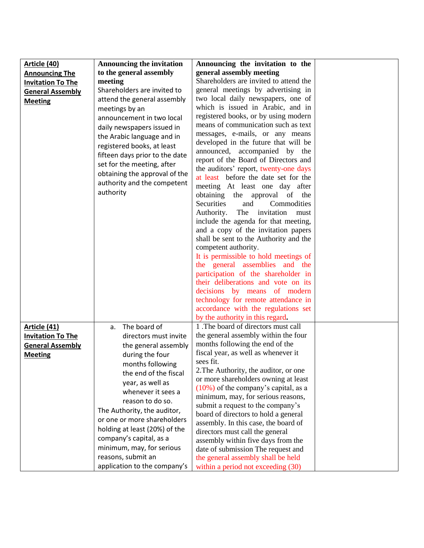| Article (40)             | <b>Announcing the invitation</b> | Announcing the invitation to the                                           |  |
|--------------------------|----------------------------------|----------------------------------------------------------------------------|--|
| <b>Announcing The</b>    | to the general assembly          | general assembly meeting                                                   |  |
| <b>Invitation To The</b> | meeting                          | Shareholders are invited to attend the                                     |  |
| <b>General Assembly</b>  | Shareholders are invited to      | general meetings by advertising in                                         |  |
| <b>Meeting</b>           | attend the general assembly      | two local daily newspapers, one of                                         |  |
|                          | meetings by an                   | which is issued in Arabic, and in                                          |  |
|                          | announcement in two local        | registered books, or by using modern                                       |  |
|                          | daily newspapers issued in       | means of communication such as text                                        |  |
|                          | the Arabic language and in       | messages, e-mails, or any means                                            |  |
|                          | registered books, at least       | developed in the future that will be                                       |  |
|                          | fifteen days prior to the date   | announced, accompanied by the                                              |  |
|                          | set for the meeting, after       | report of the Board of Directors and                                       |  |
|                          | obtaining the approval of the    | the auditors' report, twenty-one days                                      |  |
|                          | authority and the competent      | at least before the date set for the                                       |  |
|                          | authority                        | meeting At least one day after                                             |  |
|                          |                                  | obtaining the approval of the                                              |  |
|                          |                                  | Securities<br>and<br>Commodities                                           |  |
|                          |                                  | Authority. The invitation must                                             |  |
|                          |                                  | include the agenda for that meeting,                                       |  |
|                          |                                  | and a copy of the invitation papers                                        |  |
|                          |                                  | shall be sent to the Authority and the                                     |  |
|                          |                                  | competent authority.                                                       |  |
|                          |                                  | It is permissible to hold meetings of                                      |  |
|                          |                                  | the general assemblies and the                                             |  |
|                          |                                  | participation of the shareholder in<br>their deliberations and vote on its |  |
|                          |                                  | decisions by means of modern                                               |  |
|                          |                                  | technology for remote attendance in                                        |  |
|                          |                                  | accordance with the regulations set                                        |  |
|                          |                                  | by the authority in this regard.                                           |  |
| Article (41)             | The board of<br>a.               | 1. The board of directors must call                                        |  |
| <b>Invitation To The</b> | directors must invite            | the general assembly within the four                                       |  |
| <b>General Assembly</b>  | the general assembly             | months following the end of the                                            |  |
| <b>Meeting</b>           | during the four                  | fiscal year, as well as whenever it                                        |  |
|                          | months following                 | sees fit.                                                                  |  |
|                          | the end of the fiscal            | 2. The Authority, the auditor, or one                                      |  |
|                          | year, as well as                 | or more shareholders owning at least                                       |  |
|                          | whenever it sees a               | $(10\%)$ of the company's capital, as a                                    |  |
|                          | reason to do so.                 | minimum, may, for serious reasons,                                         |  |
|                          |                                  | submit a request to the company's                                          |  |
|                          | The Authority, the auditor,      | board of directors to hold a general                                       |  |
|                          | or one or more shareholders      | assembly. In this case, the board of                                       |  |
|                          | holding at least (20%) of the    | directors must call the general                                            |  |
|                          | company's capital, as a          | assembly within five days from the                                         |  |
|                          | minimum, may, for serious        | date of submission The request and                                         |  |
|                          | reasons, submit an               | the general assembly shall be held                                         |  |
|                          | application to the company's     | within a period not exceeding (30)                                         |  |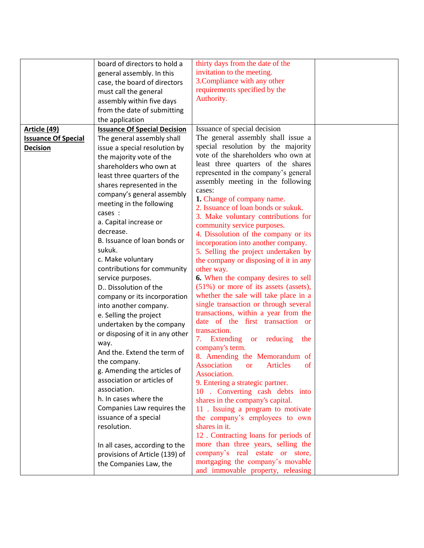|                            | board of directors to hold a        | thirty days from the date of the                  |  |
|----------------------------|-------------------------------------|---------------------------------------------------|--|
|                            | general assembly. In this           | invitation to the meeting.                        |  |
|                            | case, the board of directors        | 3. Compliance with any other                      |  |
|                            | must call the general               | requirements specified by the                     |  |
|                            | assembly within five days           | Authority.                                        |  |
|                            | from the date of submitting         |                                                   |  |
|                            | the application                     |                                                   |  |
| <b>Article (49)</b>        | <b>Issuance Of Special Decision</b> | Issuance of special decision                      |  |
| <b>Issuance Of Special</b> | The general assembly shall          | The general assembly shall issue a                |  |
| <b>Decision</b>            | issue a special resolution by       | special resolution by the majority                |  |
|                            |                                     | vote of the shareholders who own at               |  |
|                            | the majority vote of the            | least three quarters of the shares                |  |
|                            | shareholders who own at             | represented in the company's general              |  |
|                            | least three quarters of the         | assembly meeting in the following                 |  |
|                            | shares represented in the           | cases:                                            |  |
|                            | company's general assembly          | 1. Change of company name.                        |  |
|                            | meeting in the following            | 2. Issuance of loan bonds or sukuk.               |  |
|                            | cases :                             | 3. Make voluntary contributions for               |  |
|                            | a. Capital increase or              | community service purposes.                       |  |
|                            | decrease.                           | 4. Dissolution of the company or its              |  |
|                            | B. Issuance of loan bonds or        | incorporation into another company.               |  |
|                            | sukuk.                              | 5. Selling the project undertaken by              |  |
|                            | c. Make voluntary                   | the company or disposing of it in any             |  |
|                            | contributions for community         | other way.                                        |  |
|                            | service purposes.                   | <b>6.</b> When the company desires to sell        |  |
|                            | D Dissolution of the                | $(51\%)$ or more of its assets (assets),          |  |
|                            | company or its incorporation        | whether the sale will take place in a             |  |
|                            | into another company.               | single transaction or through several             |  |
|                            | e. Selling the project              | transactions, within a year from the              |  |
|                            | undertaken by the company           | date of the first transaction or                  |  |
|                            | or disposing of it in any other     | transaction.                                      |  |
|                            | way.                                | 7. Extending or reducing<br>the                   |  |
|                            | And the. Extend the term of         | company's term.                                   |  |
|                            | the company.                        | 8. Amending the Memorandum of                     |  |
|                            | g. Amending the articles of         | Association<br><b>Articles</b><br>of<br><b>or</b> |  |
|                            | association or articles of          | Association.                                      |  |
|                            | association.                        | 9. Entering a strategic partner.                  |  |
|                            | h. In cases where the               | 10 . Converting cash debts into                   |  |
|                            |                                     | shares in the company's capital.                  |  |
|                            | Companies Law requires the          | 11 . Issuing a program to motivate                |  |
|                            | issuance of a special               | the company's employees to own                    |  |
|                            | resolution.                         | shares in it.                                     |  |
|                            |                                     | 12. Contracting loans for periods of              |  |
|                            | In all cases, according to the      | more than three years, selling the                |  |
|                            | provisions of Article (139) of      | company's real estate or store,                   |  |
|                            | the Companies Law, the              | mortgaging the company's movable                  |  |
|                            |                                     | and immovable property, releasing                 |  |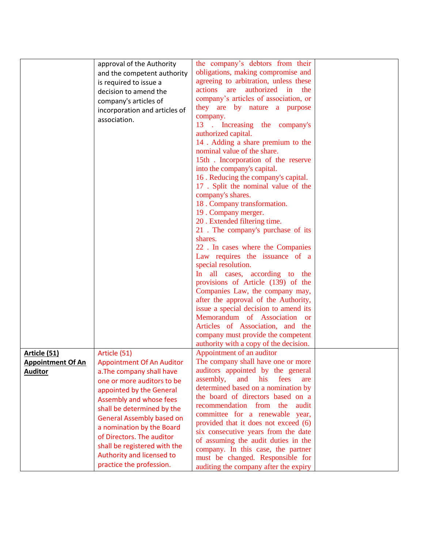|                          | approval of the Authority        | the company's debtors from their                                      |  |
|--------------------------|----------------------------------|-----------------------------------------------------------------------|--|
|                          | and the competent authority      | obligations, making compromise and                                    |  |
|                          | is required to issue a           | agreeing to arbitration, unless these                                 |  |
|                          | decision to amend the            | authorized<br>actions<br>are<br>in<br>the                             |  |
|                          |                                  | company's articles of association, or                                 |  |
|                          | company's articles of            | they are by nature a purpose                                          |  |
|                          | incorporation and articles of    | company.                                                              |  |
|                          | association.                     | Increasing the company's<br>13<br>$\sim$                              |  |
|                          |                                  | authorized capital.                                                   |  |
|                          |                                  | 14. Adding a share premium to the                                     |  |
|                          |                                  | nominal value of the share.                                           |  |
|                          |                                  | 15th. Incorporation of the reserve                                    |  |
|                          |                                  | into the company's capital.                                           |  |
|                          |                                  | 16. Reducing the company's capital.                                   |  |
|                          |                                  | 17. Split the nominal value of the                                    |  |
|                          |                                  | company's shares.                                                     |  |
|                          |                                  | 18. Company transformation.                                           |  |
|                          |                                  | 19. Company merger.                                                   |  |
|                          |                                  | 20. Extended filtering time.                                          |  |
|                          |                                  | 21. The company's purchase of its                                     |  |
|                          |                                  | shares.                                                               |  |
|                          |                                  | 22. In cases where the Companies                                      |  |
|                          |                                  | Law requires the issuance of a                                        |  |
|                          |                                  | special resolution.                                                   |  |
|                          |                                  | In all cases, according to the                                        |  |
|                          |                                  | provisions of Article (139) of the                                    |  |
|                          |                                  | Companies Law, the company may,                                       |  |
|                          |                                  | after the approval of the Authority,                                  |  |
|                          |                                  | issue a special decision to amend its                                 |  |
|                          |                                  | Memorandum of Association or                                          |  |
|                          |                                  | Articles of Association, and the                                      |  |
|                          |                                  | company must provide the competent                                    |  |
|                          |                                  | authority with a copy of the decision.                                |  |
| <b>Article (51)</b>      | Article (51)                     | Appointment of an auditor                                             |  |
| <b>Appointment Of An</b> | <b>Appointment Of An Auditor</b> | The company shall have one or more                                    |  |
| <b>Auditor</b>           | a. The company shall have        | auditors appointed by the general                                     |  |
|                          | one or more auditors to be       | assembly,<br>and<br>his<br>fees<br>are                                |  |
|                          | appointed by the General         | determined based on a nomination by                                   |  |
|                          | Assembly and whose fees          | the board of directors based on a<br>recommendation from the<br>audit |  |
|                          | shall be determined by the       | committee for a renewable year,                                       |  |
|                          | <b>General Assembly based on</b> | provided that it does not exceed (6)                                  |  |
|                          | a nomination by the Board        | six consecutive years from the date                                   |  |
|                          | of Directors. The auditor        | of assuming the audit duties in the                                   |  |
|                          | shall be registered with the     | company. In this case, the partner                                    |  |
|                          | Authority and licensed to        | must be changed. Responsible for                                      |  |
|                          | practice the profession.         | auditing the company after the expiry                                 |  |